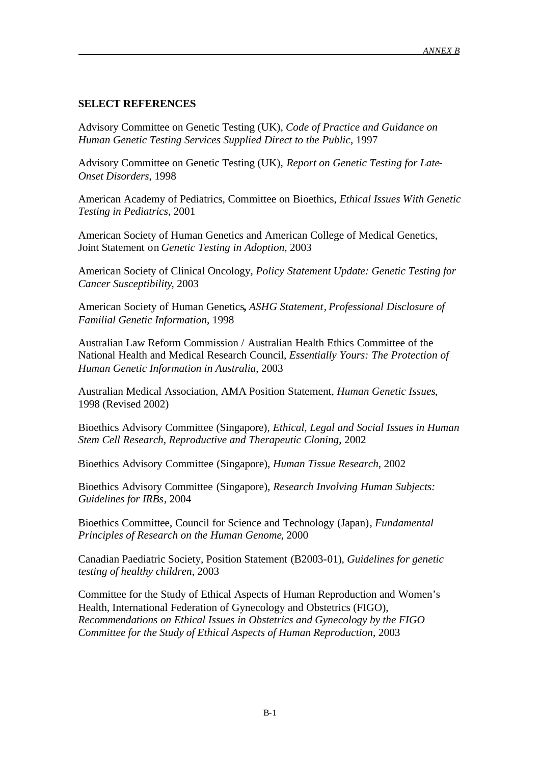## **SELECT REFERENCES**

Advisory Committee on Genetic Testing (UK), *Code of Practice and Guidance on Human Genetic Testing Services Supplied Direct to the Public*, 1997

Advisory Committee on Genetic Testing (UK), *Report on Genetic Testing for Late-Onset Disorders*, 1998

American Academy of Pediatrics, Committee on Bioethics, *Ethical Issues With Genetic Testing in Pediatrics*, 2001

American Society of Human Genetics and American College of Medical Genetics, Joint Statement on *Genetic Testing in Adoption*, 2003

American Society of Clinical Oncology, *Policy Statement Update: Genetic Testing for Cancer Susceptibility*, 2003

American Society of Human Genetics**,** *ASHG Statement, Professional Disclosure of Familial Genetic Information*, 1998

Australian Law Reform Commission / Australian Health Ethics Committee of the National Health and Medical Research Council, *Essentially Yours: The Protection of Human Genetic Information in Australia*, 2003

Australian Medical Association, AMA Position Statement, *Human Genetic Issues*, 1998 (Revised 2002)

Bioethics Advisory Committee (Singapore), *Ethical, Legal and Social Issues in Human Stem Cell Research, Reproductive and Therapeutic Cloning*, 2002

Bioethics Advisory Committee (Singapore), *Human Tissue Research*, 2002

Bioethics Advisory Committee (Singapore), *Research Involving Human Subjects: Guidelines for IRBs*, 2004

Bioethics Committee, Council for Science and Technology (Japan), *Fundamental Principles of Research on the Human Genome*, 2000

Canadian Paediatric Society, Position Statement (B2003-01), *Guidelines for genetic testing of healthy children*, 2003

Committee for the Study of Ethical Aspects of Human Reproduction and Women's Health, International Federation of Gynecology and Obstetrics (FIGO), *Recommendations on Ethical Issues in Obstetrics and Gynecology by the FIGO Committee for the Study of Ethical Aspects of Human Reproduction*, 2003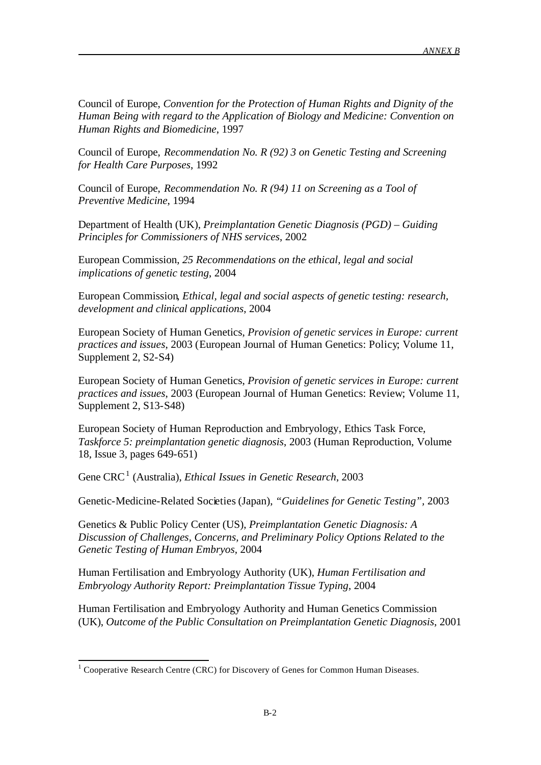Council of Europe, *Convention for the Protection of Human Rights and Dignity of the Human Being with regard to the Application of Biology and Medicine: Convention on Human Rights and Biomedicine*, 1997

Council of Europe, *Recommendation No. R (92) 3 on Genetic Testing and Screening for Health Care Purposes*, 1992

Council of Europe, *Recommendation No. R (94) 11 on Screening as a Tool of Preventive Medicine*, 1994

Department of Health (UK), *Preimplantation Genetic Diagnosis (PGD) – Guiding Principles for Commissioners of NHS services*, 2002

European Commission, *25 Recommendations on the ethical, legal and social implications of genetic testing*, 2004

European Commission, *Ethical, legal and social aspects of genetic testing: research, development and clinical applications*, 2004

European Society of Human Genetics, *Provision of genetic services in Europe: current practices and issues*, 2003 (European Journal of Human Genetics: Policy; Volume 11, Supplement 2, S2-S4)

European Society of Human Genetics, *Provision of genetic services in Europe: current practices and issues*, 2003 (European Journal of Human Genetics: Review; Volume 11, Supplement 2, S13-S48)

European Society of Human Reproduction and Embryology, Ethics Task Force, *Taskforce 5: preimplantation genetic diagnosis*, 2003 (Human Reproduction, Volume 18, Issue 3, pages 649-651)

Gene CRC<sup>1</sup> (Australia), *Ethical Issues in Genetic Research*, 2003

Genetic-Medicine-Related Societies (Japan), *"Guidelines for Genetic Testing",* 2003

Genetics & Public Policy Center (US), *Preimplantation Genetic Diagnosis: A Discussion of Challenges, Concerns, and Preliminary Policy Options Related to the Genetic Testing of Human Embryos,* 2004

Human Fertilisation and Embryology Authority (UK), *Human Fertilisation and Embryology Authority Report: Preimplantation Tissue Typing*, 2004

Human Fertilisation and Embryology Authority and Human Genetics Commission (UK), *Outcome of the Public Consultation on Preimplantation Genetic Diagnosis*, 2001

l

<sup>&</sup>lt;sup>1</sup> Cooperative Research Centre (CRC) for Discovery of Genes for Common Human Diseases.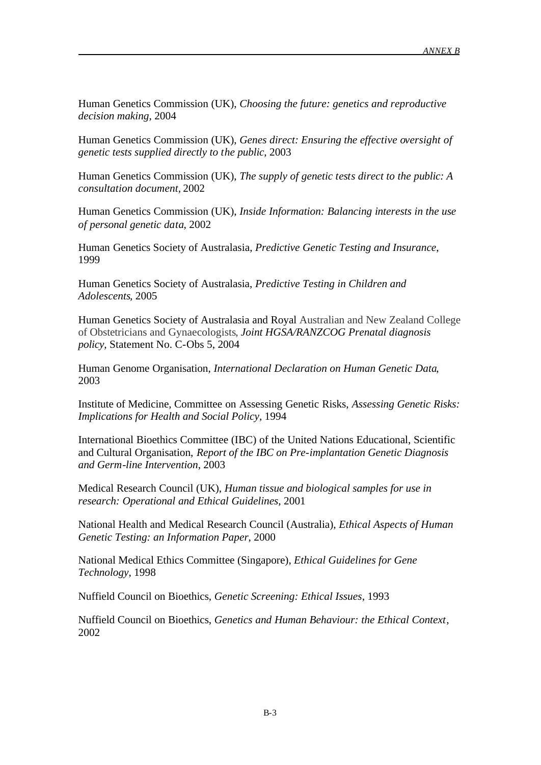Human Genetics Commission (UK), *Choosing the future: genetics and reproductive decision making,* 2004

Human Genetics Commission (UK), *Genes direct: Ensuring the effective oversight of genetic tests supplied directly to the public*, 2003

Human Genetics Commission (UK), *The supply of genetic tests direct to the public: A consultation document,* 2002

Human Genetics Commission (UK), *Inside Information: Balancing interests in the use of personal genetic data*, 2002

Human Genetics Society of Australasia, *Predictive Genetic Testing and Insurance*, 1999

Human Genetics Society of Australasia, *Predictive Testing in Children and Adolescents,* 2005

Human Genetics Society of Australasia and Royal Australian and New Zealand College of Obstetricians and Gynaecologists, *Joint HGSA/RANZCOG Prenatal diagnosis policy*, Statement No. C-Obs 5, 2004

Human Genome Organisation, *International Declaration on Human Genetic Data*, 2003

Institute of Medicine, Committee on Assessing Genetic Risks, *Assessing Genetic Risks: Implications for Health and Social Policy*, 1994

International Bioethics Committee (IBC) of the United Nations Educational, Scientific and Cultural Organisation, *Report of the IBC on Pre-implantation Genetic Diagnosis and Germ-line Intervention*, 2003

Medical Research Council (UK), *Human tissue and biological samples for use in research: Operational and Ethical Guidelines*, 2001

National Health and Medical Research Council (Australia), *Ethical Aspects of Human Genetic Testing: an Information Paper*, 2000

National Medical Ethics Committee (Singapore), *Ethical Guidelines for Gene Technology*, 1998

Nuffield Council on Bioethics, *Genetic Screening: Ethical Issues*, 1993

Nuffield Council on Bioethics, *Genetics and Human Behaviour: the Ethical Context*, 2002